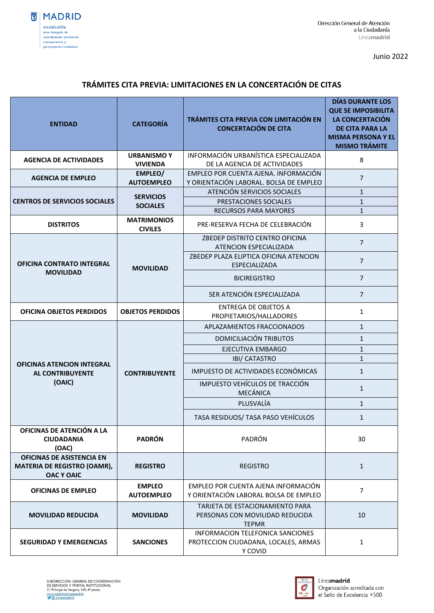

Junio 2022

## **TRÁMITES CITA PREVIA: LIMITACIONES EN LA CONCERTACIÓN DE CITAS**

| <b>ENTIDAD</b>                                                                | <b>CATEGORÍA</b>                                          | TRÁMITES CITA PREVIA CON LIMITACIÓN EN<br><b>CONCERTACIÓN DE CITA</b>               | <b>DÍAS DURANTE LOS</b><br><b>QUE SE IMPOSIBILITA</b><br><b>LA CONCERTACIÓN</b><br><b>DE CITA PARA LA</b><br><b>MISMA PERSONA Y EL</b><br><b>MISMO TRÁMITE</b> |
|-------------------------------------------------------------------------------|-----------------------------------------------------------|-------------------------------------------------------------------------------------|----------------------------------------------------------------------------------------------------------------------------------------------------------------|
| <b>AGENCIA DE ACTIVIDADES</b>                                                 | <b>URBANISMOY</b>                                         | INFORMACIÓN URBANÍSTICA ESPECIALIZADA                                               | 8                                                                                                                                                              |
|                                                                               | <b>VIVIENDA</b><br>EMPLEO/                                | DE LA AGENCIA DE ACTIVIDADES<br>EMPLEO POR CUENTA AJENA. INFORMACIÓN                |                                                                                                                                                                |
| <b>AGENCIA DE EMPLEO</b>                                                      | <b>AUTOEMPLEO</b>                                         | Y ORIENTACIÓN LABORAL. BOLSA DE EMPLEO                                              | $\overline{7}$                                                                                                                                                 |
| <b>CENTROS DE SERVICIOS SOCIALES</b>                                          | <b>SERVICIOS</b><br><b>SOCIALES</b><br><b>MATRIMONIOS</b> | ATENCIÓN SERVICIOS SOCIALES                                                         | $\mathbf{1}$                                                                                                                                                   |
|                                                                               |                                                           | PRESTACIONES SOCIALES                                                               | $\mathbf{1}$                                                                                                                                                   |
|                                                                               |                                                           | <b>RECURSOS PARA MAYORES</b>                                                        | $\mathbf{1}$                                                                                                                                                   |
| <b>DISTRITOS</b>                                                              | <b>CIVILES</b>                                            | PRE-RESERVA FECHA DE CELEBRACIÓN                                                    | 3                                                                                                                                                              |
| <b>OFICINA CONTRATO INTEGRAL</b>                                              | <b>MOVILIDAD</b>                                          | ZBEDEP DISTRITO CENTRO OFICINA<br>ATENCION ESPECIALIZADA                            | $\overline{7}$                                                                                                                                                 |
|                                                                               |                                                           | ZBEDEP PLAZA ELIPTICA OFICINA ATENCION<br>ESPECIALIZADA                             | $\overline{7}$                                                                                                                                                 |
| <b>MOVILIDAD</b>                                                              |                                                           | <b>BICIREGISTRO</b>                                                                 | $\overline{7}$                                                                                                                                                 |
|                                                                               |                                                           | SER ATENCIÓN ESPECIALIZADA                                                          | $\overline{7}$                                                                                                                                                 |
| <b>OFICINA OBJETOS PERDIDOS</b>                                               | <b>OBJETOS PERDIDOS</b>                                   | <b>ENTREGA DE OBJETOS A</b><br>PROPIETARIOS/HALLADORES                              | $\mathbf{1}$                                                                                                                                                   |
| <b>OFICINAS ATENCION INTEGRAL</b><br><b>AL CONTRIBUYENTE</b><br>(OAIC)        | <b>CONTRIBUYENTE</b>                                      | APLAZAMIENTOS FRACCIONADOS                                                          | $\mathbf{1}$                                                                                                                                                   |
|                                                                               |                                                           | DOMICILIACIÓN TRIBUTOS                                                              | $\mathbf{1}$                                                                                                                                                   |
|                                                                               |                                                           | EJECUTIVA EMBARGO                                                                   | $\mathbf{1}$                                                                                                                                                   |
|                                                                               |                                                           | <b>IBI/ CATASTRO</b>                                                                | $\mathbf{1}$                                                                                                                                                   |
|                                                                               |                                                           | IMPUESTO DE ACTIVIDADES ECONÓMICAS                                                  | $\mathbf{1}$                                                                                                                                                   |
|                                                                               |                                                           | IMPUESTO VEHÍCULOS DE TRACCIÓN<br><b>MECÁNICA</b>                                   | $\mathbf{1}$                                                                                                                                                   |
|                                                                               |                                                           | PLUSVALÍA                                                                           | $\mathbf{1}$                                                                                                                                                   |
|                                                                               |                                                           | TASA RESIDUOS/ TASA PASO VEHÍCULOS                                                  | $\mathbf{1}$                                                                                                                                                   |
| OFICINAS DE ATENCIÓN A LA<br><b>CIUDADANIA</b><br>(OAC)                       | <b>PADRÓN</b>                                             | PADRÓN                                                                              | 30                                                                                                                                                             |
| OFICINAS DE ASISTENCIA EN<br>MATERIA DE REGISTRO (OAMR),<br><b>OAC Y OAIC</b> | <b>REGISTRO</b>                                           | <b>REGISTRO</b>                                                                     | $\mathbf{1}$                                                                                                                                                   |
| <b>OFICINAS DE EMPLEO</b>                                                     | <b>EMPLEO</b><br><b>AUTOEMPLEO</b>                        | EMPLEO POR CUENTA AJENA INFORMACIÓN<br>Y ORIENTACIÓN LABORAL BOLSA DE EMPLEO        | $\overline{7}$                                                                                                                                                 |
| <b>MOVILIDAD REDUCIDA</b>                                                     | <b>MOVILIDAD</b>                                          | TARJETA DE ESTACIONAMIENTO PARA<br>PERSONAS CON MOVILIDAD REDUCIDA<br><b>TEPMR</b>  | 10                                                                                                                                                             |
| <b>SEGURIDAD Y EMERGENCIAS</b>                                                | <b>SANCIONES</b>                                          | INFORMACION TELEFONICA SANCIONES<br>PROTECCION CIUDADANA, LOCALES, ARMAS<br>Y COVID | $\mathbf{1}$                                                                                                                                                   |